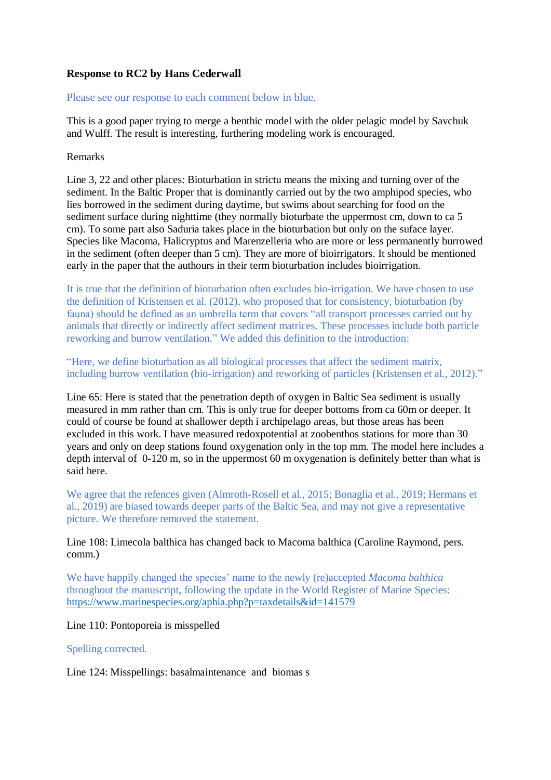# **Response to RC2 by Hans Cederwall**

Please see our response to each comment below in blue.

This is a good paper trying to merge a benthic model with the older pelagic model by Savchuk and Wulff. The result is interesting, furthering modeling work is encouraged.

### Remarks

Line 3, 22 and other places: Bioturbation in strictu means the mixing and turning over of the sediment. In the Baltic Proper that is dominantly carried out by the two amphipod species, who lies borrowed in the sediment during daytime, but swims about searching for food on the sediment surface during nighttime (they normally bioturbate the uppermost cm, down to ca 5 cm). To some part also Saduria takes place in the bioturbation but only on the suface layer. Species like Macoma, Halicryptus and Marenzelleria who are more or less permanently burrowed in the sediment (often deeper than 5 cm). They are more of bioirrigators. It should be mentioned early in the paper that the authours in their term bioturbation includes bioirrigation.

It is true that the definition of bioturbation often excludes bio-irrigation. We have chosen to use the definition of Kristensen et al. (2012), who proposed that for consistency, bioturbation (by fauna) should be defined as an umbrella term that covers "all transport processes carried out by animals that directly or indirectly affect sediment matrices. These processes include both particle reworking and burrow ventilation." We added this definition to the introduction:

"Here, we define bioturbation as all biological processes that affect the sediment matrix, including burrow ventilation (bio-irrigation) and reworking of particles (Kristensen et al., 2012)."

Line 65: Here is stated that the penetration depth of oxygen in Baltic Sea sediment is usually measured in mm rather than cm. This is only true for deeper bottoms from ca 60m or deeper. It could of course be found at shallower depth i archipelago areas, but those areas has been excluded in this work. I have measured redoxpotential at zoobenthos stations for more than 30 years and only on deep stations found oxygenation only in the top mm. The model here includes a depth interval of 0-120 m, so in the uppermost 60 m oxygenation is definitely better than what is said here.

We agree that the refences given (Almroth-Rosell et al., 2015; Bonaglia et al., 2019; Hermans et al., 2019) are biased towards deeper parts of the Baltic Sea, and may not give a representative picture. We therefore removed the statement.

## Line 108: Limecola balthica has changed back to Macoma balthica (Caroline Raymond, pers. comm.)

We have happily changed the species' name to the newly (re)accepted *Macoma balthica*  throughout the manuscript, following the update in the World Register of Marine Species: <https://www.marinespecies.org/aphia.php?p=taxdetails&id=141579>

### Line 110: Pontoporeia is misspelled

### Spelling corrected.

Line 124: Misspellings: basalmaintenance and biomas s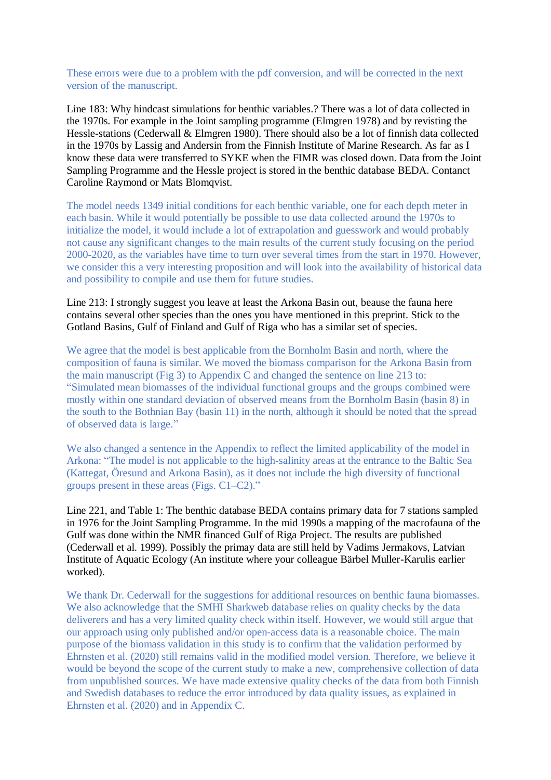These errors were due to a problem with the pdf conversion, and will be corrected in the next version of the manuscript.

Line 183: Why hindcast simulations for benthic variables.? There was a lot of data collected in the 1970s. For example in the Joint sampling programme (Elmgren 1978) and by revisting the Hessle-stations (Cederwall & Elmgren 1980). There should also be a lot of finnish data collected in the 1970s by Lassig and Andersin from the Finnish Institute of Marine Research. As far as I know these data were transferred to SYKE when the FIMR was closed down. Data from the Joint Sampling Programme and the Hessle project is stored in the benthic database BEDA. Contanct Caroline Raymond or Mats Blomqvist.

The model needs 1349 initial conditions for each benthic variable, one for each depth meter in each basin. While it would potentially be possible to use data collected around the 1970s to initialize the model, it would include a lot of extrapolation and guesswork and would probably not cause any significant changes to the main results of the current study focusing on the period 2000-2020, as the variables have time to turn over several times from the start in 1970. However, we consider this a very interesting proposition and will look into the availability of historical data and possibility to compile and use them for future studies.

Line 213: I strongly suggest you leave at least the Arkona Basin out, beause the fauna here contains several other species than the ones you have mentioned in this preprint. Stick to the Gotland Basins, Gulf of Finland and Gulf of Riga who has a similar set of species.

We agree that the model is best applicable from the Bornholm Basin and north, where the composition of fauna is similar. We moved the biomass comparison for the Arkona Basin from the main manuscript (Fig 3) to Appendix C and changed the sentence on line 213 to: "Simulated mean biomasses of the individual functional groups and the groups combined were mostly within one standard deviation of observed means from the Bornholm Basin (basin 8) in the south to the Bothnian Bay (basin 11) in the north, although it should be noted that the spread of observed data is large."

We also changed a sentence in the Appendix to reflect the limited applicability of the model in Arkona: "The model is not applicable to the high-salinity areas at the entrance to the Baltic Sea (Kattegat, Öresund and Arkona Basin), as it does not include the high diversity of functional groups present in these areas (Figs. C1–C2)."

Line 221, and Table 1: The benthic database BEDA contains primary data for 7 stations sampled in 1976 for the Joint Sampling Programme. In the mid 1990s a mapping of the macrofauna of the Gulf was done within the NMR financed Gulf of Riga Project. The results are published (Cederwall et al. 1999). Possibly the primay data are still held by Vadims Jermakovs, Latvian Institute of Aquatic Ecology (An institute where your colleague Bärbel Muller-Karulis earlier worked).

We thank Dr. Cederwall for the suggestions for additional resources on benthic fauna biomasses. We also acknowledge that the SMHI Sharkweb database relies on quality checks by the data deliverers and has a very limited quality check within itself. However, we would still argue that our approach using only published and/or open-access data is a reasonable choice. The main purpose of the biomass validation in this study is to confirm that the validation performed by Ehrnsten et al. (2020) still remains valid in the modified model version. Therefore, we believe it would be beyond the scope of the current study to make a new, comprehensive collection of data from unpublished sources. We have made extensive quality checks of the data from both Finnish and Swedish databases to reduce the error introduced by data quality issues, as explained in Ehrnsten et al. (2020) and in Appendix C.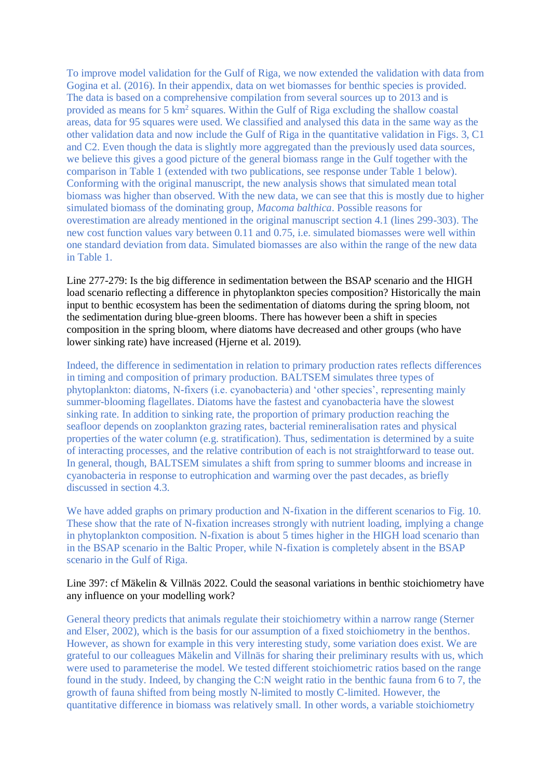To improve model validation for the Gulf of Riga, we now extended the validation with data from Gogina et al. (2016). In their appendix, data on wet biomasses for benthic species is provided. The data is based on a comprehensive compilation from several sources up to 2013 and is provided as means for 5 km<sup>2</sup> squares. Within the Gulf of Riga excluding the shallow coastal areas, data for 95 squares were used. We classified and analysed this data in the same way as the other validation data and now include the Gulf of Riga in the quantitative validation in Figs. 3, C1 and C2. Even though the data is slightly more aggregated than the previously used data sources, we believe this gives a good picture of the general biomass range in the Gulf together with the comparison in Table 1 (extended with two publications, see response under Table 1 below). Conforming with the original manuscript, the new analysis shows that simulated mean total biomass was higher than observed. With the new data, we can see that this is mostly due to higher simulated biomass of the dominating group, *Macoma balthica*. Possible reasons for overestimation are already mentioned in the original manuscript section 4.1 (lines 299-303). The new cost function values vary between 0.11 and 0.75, i.e. simulated biomasses were well within one standard deviation from data. Simulated biomasses are also within the range of the new data in Table 1.

Line 277-279: Is the big difference in sedimentation between the BSAP scenario and the HIGH load scenario reflecting a difference in phytoplankton species composition? Historically the main input to benthic ecosystem has been the sedimentation of diatoms during the spring bloom, not the sedimentation during blue-green blooms. There has however been a shift in species composition in the spring bloom, where diatoms have decreased and other groups (who have lower sinking rate) have increased (Hjerne et al. 2019).

Indeed, the difference in sedimentation in relation to primary production rates reflects differences in timing and composition of primary production. BALTSEM simulates three types of phytoplankton: diatoms, N-fixers (i.e. cyanobacteria) and 'other species', representing mainly summer-blooming flagellates. Diatoms have the fastest and cyanobacteria have the slowest sinking rate. In addition to sinking rate, the proportion of primary production reaching the seafloor depends on zooplankton grazing rates, bacterial remineralisation rates and physical properties of the water column (e.g. stratification). Thus, sedimentation is determined by a suite of interacting processes, and the relative contribution of each is not straightforward to tease out. In general, though, BALTSEM simulates a shift from spring to summer blooms and increase in cyanobacteria in response to eutrophication and warming over the past decades, as briefly discussed in section 4.3.

We have added graphs on primary production and N-fixation in the different scenarios to Fig. 10. These show that the rate of N-fixation increases strongly with nutrient loading, implying a change in phytoplankton composition. N-fixation is about 5 times higher in the HIGH load scenario than in the BSAP scenario in the Baltic Proper, while N-fixation is completely absent in the BSAP scenario in the Gulf of Riga.

## Line 397: cf Mäkelin & Villnäs 2022. Could the seasonal variations in benthic stoichiometry have any influence on your modelling work?

General theory predicts that animals regulate their stoichiometry within a narrow range (Sterner and Elser, 2002), which is the basis for our assumption of a fixed stoichiometry in the benthos. However, as shown for example in this very interesting study, some variation does exist. We are grateful to our colleagues Mäkelin and Villnäs for sharing their preliminary results with us, which were used to parameterise the model. We tested different stoichiometric ratios based on the range found in the study. Indeed, by changing the C:N weight ratio in the benthic fauna from 6 to 7, the growth of fauna shifted from being mostly N-limited to mostly C-limited. However, the quantitative difference in biomass was relatively small. In other words, a variable stoichiometry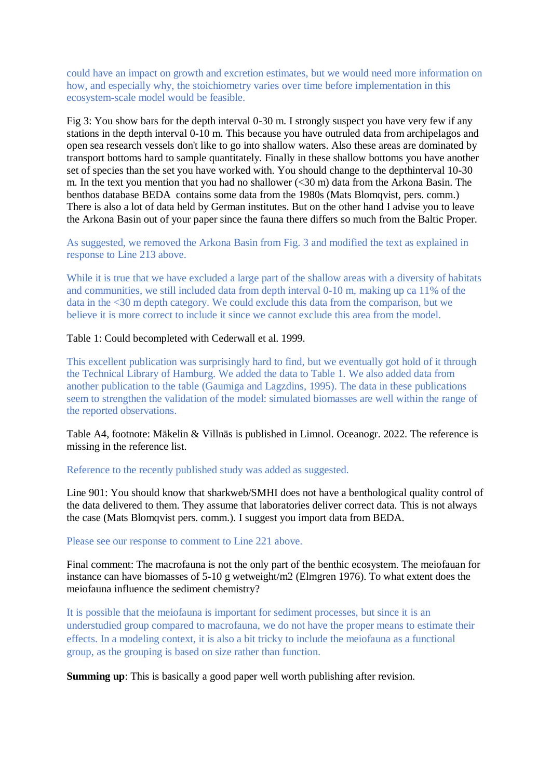could have an impact on growth and excretion estimates, but we would need more information on how, and especially why, the stoichiometry varies over time before implementation in this ecosystem-scale model would be feasible.

Fig 3: You show bars for the depth interval 0-30 m. I strongly suspect you have very few if any stations in the depth interval 0-10 m. This because you have outruled data from archipelagos and open sea research vessels don't like to go into shallow waters. Also these areas are dominated by transport bottoms hard to sample quantitately. Finally in these shallow bottoms you have another set of species than the set you have worked with. You should change to the depthinterval 10-30 m. In the text you mention that you had no shallower (<30 m) data from the Arkona Basin. The benthos database BEDA contains some data from the 1980s (Mats Blomqvist, pers. comm.) There is also a lot of data held by German institutes. But on the other hand I advise you to leave the Arkona Basin out of your paper since the fauna there differs so much from the Baltic Proper.

As suggested, we removed the Arkona Basin from Fig. 3 and modified the text as explained in response to Line 213 above.

While it is true that we have excluded a large part of the shallow areas with a diversity of habitats and communities, we still included data from depth interval 0-10 m, making up ca 11% of the data in the <30 m depth category. We could exclude this data from the comparison, but we believe it is more correct to include it since we cannot exclude this area from the model.

#### Table 1: Could becompleted with Cederwall et al. 1999.

This excellent publication was surprisingly hard to find, but we eventually got hold of it through the Technical Library of Hamburg. We added the data to Table 1. We also added data from another publication to the table (Gaumiga and Lagzdins, 1995). The data in these publications seem to strengthen the validation of the model: simulated biomasses are well within the range of the reported observations.

Table A4, footnote: Mäkelin & Villnäs is published in Limnol. Oceanogr. 2022. The reference is missing in the reference list.

#### Reference to the recently published study was added as suggested.

Line 901: You should know that sharkweb/SMHI does not have a benthological quality control of the data delivered to them. They assume that laboratories deliver correct data. This is not always the case (Mats Blomqvist pers. comm.). I suggest you import data from BEDA.

#### Please see our response to comment to Line 221 above.

Final comment: The macrofauna is not the only part of the benthic ecosystem. The meiofauan for instance can have biomasses of 5-10 g wetweight/m2 (Elmgren 1976). To what extent does the meiofauna influence the sediment chemistry?

It is possible that the meiofauna is important for sediment processes, but since it is an understudied group compared to macrofauna, we do not have the proper means to estimate their effects. In a modeling context, it is also a bit tricky to include the meiofauna as a functional group, as the grouping is based on size rather than function.

**Summing up**: This is basically a good paper well worth publishing after revision.